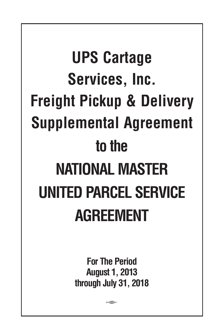# **UPS Cartage Services, Inc. Freight Pickup & Delivery Supplemental Agreement to the NATIONAL MASTER UNITED PARCEL SERVICE AGREEMENT**

**For The Period August 1, 2013 through July 31, 2018**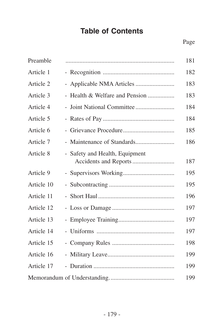# **Table of Contents**

| Preamble   |                                                         | 181 |
|------------|---------------------------------------------------------|-----|
| Article 1  |                                                         | 182 |
| Article 2  | - Applicable NMA Articles                               | 183 |
| Article 3  | - Health & Welfare and Pension                          | 183 |
| Article 4  |                                                         | 184 |
| Article 5  |                                                         | 184 |
| Article 6  |                                                         | 185 |
| Article 7  |                                                         | 186 |
| Article 8  | - Safety and Health, Equipment<br>Accidents and Reports | 187 |
| Article 9  |                                                         | 195 |
| Article 10 |                                                         | 195 |
| Article 11 |                                                         | 196 |
| Article 12 |                                                         | 197 |
| Article 13 |                                                         | 197 |
| Article 14 |                                                         | 197 |
| Article 15 |                                                         | 198 |
| Article 16 |                                                         | 199 |
| Article 17 |                                                         | 199 |
|            |                                                         | 199 |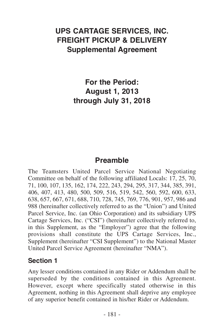## **UPS CARTAGE SERVICES, INC. FREIGHT PICKUP & DELIVERY Supplemental Agreement**

**For the Period: August 1, 2013 through July 31, 2018**

#### **Preamble**

The Teamsters United Parcel Service National Negotiating Committee on behalf of the following affiliated Locals: 17, 25, 70, 71, 100, 107, 135, 162, 174, 222, 243, 294, 295, 317, 344, 385, 391, 406, 407, 413, 480, 500, 509, 516, 519, 542, 560, 592, 600, 633, 638, 657, 667, 671, 688, 710, 728, 745, 769, 776, 901, 957, 986 and 988 (hereinafter collectively referred to as the "Union") and United Parcel Service, Inc. (an Ohio Corporation) and its subsidiary UPS Cartage Services, Inc. ("CSI") (hereinafter collectively referred to, in this Supplement, as the "Employer") agree that the following provisions shall constitute the UPS Cartage Services, Inc., Supplement (hereinafter "CSI Supplement") to the National Master United Parcel Service Agreement (hereinafter "NMA").

#### **Section 1**

Any lesser conditions contained in any Rider or Addendum shall be superseded by the conditions contained in this Agreement. However, except where specifically stated otherwise in this Agreement, nothing in this Agreement shall deprive any employee of any superior benefit contained in his/her Rider or Addendum.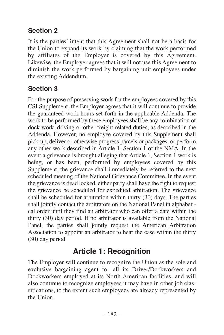#### **Section 2**

It is the parties' intent that this Agreement shall not be a basis for the Union to expand its work by claiming that the work performed by affiliates of the Employer is covered by this Agreement. Likewise, the Employer agrees that it will not use this Agreement to diminish the work performed by bargaining unit employees under the existing Addendum.

## **Section 3**

For the purpose of preserving work for the employees covered by this CSI Supplement, the Employer agrees that it will continue to provide the guaranteed work hours set forth in the applicable Addenda. The work to be performed by these employees shall be any combination of dock work, driving or other freight-related duties, as described in the Addenda. However, no employee covered by this Supplement shall pick-up, deliver or otherwise progress parcels or packages, or perform any other work described in Article 1, Section 1 of the NMA. In the event a grievance is brought alleging that Article 1, Section 1 work is being, or has been, performed by employees covered by this Supplement, the grievance shall immediately be referred to the next scheduled meeting of the National Grievance Committee. In the event the grievance is dead locked, either party shall have the right to request the grievance be scheduled for expedited arbitration. The grievance shall be scheduled for arbitration within thirty (30) days. The parties shall jointly contact the arbitrators on the National Panel in alphabetical order until they find an arbitrator who can offer a date within the thirty (30) day period. If no arbitrator is available from the National Panel, the parties shall jointly request the American Arbitration Association to appoint an arbitrator to hear the case within the thirty (30) day period.

## **Article 1: Recognition**

The Employer will continue to recognize the Union as the sole and exclusive bargaining agent for all its Driver/Dockworkers and Dockworkers employed at its North American facilities, and will also continue to recognize employees it may have in other job classifications, to the extent such employees are already represented by the Union.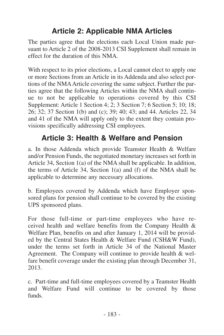# **Article 2: Applicable NMA Articles**

The parties agree that the elections each Local Union made pursuant to Article 2 of the 2008-2013 CSI Supplement shall remain in effect for the duration of this NMA.

With respect to its prior elections, a Local cannot elect to apply one. or more Sections from an Article in its Addenda and also select portions of the NMAArticle covering the same subject. Further the parties agree that the following Articles within the NMA shall continue to not be applicable to operations covered by this CSI Supplement: Article 1 Section 4; 2; 3 Section 7; 6 Section 5; 10; 18; 26; 32; 37 Section 1(b) and (c); 39; 40; 43; and 44. Articles 22, 34 and 41 of the NMA will apply only to the extent they contain provisions specifically addressing CSI employees.

## **Article 3: Health & Welfare and Pension**

a. In those Addenda which provide Teamster Health & Welfare and/or Pension Funds, the negotiated monetary increases set forth in Article 34, Section 1(a) of the NMA shall be applicable. In addition, the terms of Article 34, Section 1(a) and (f) of the NMA shall be applicable to determine any necessary allocations.

b. Employees covered by Addenda which have Employer sponsored plans for pension shall continue to be covered by the existing UPS sponsored plans.

For those full-time or part-time employees who have received health and welfare benefits from the Company Health & Welfare Plan, benefits on and after January 1, 2014 will be provided by the Central States Health & Welfare Fund (CSH&W Fund), under the terms set forth in Article 34 of the National Master Agreement. The Company will continue to provide health & welfare benefit coverage under the existing plan through December 31, 2013.

c. Part-time and full-time employees covered by a Teamster Health and Welfare Fund will continue to be covered by those funds.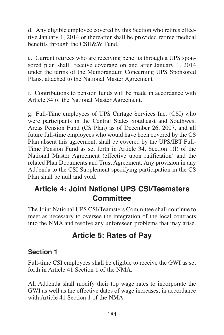d. Any eligible employee covered by this Section who retires effective January 1, 2014 or thereafter shall be provided retiree medical benefits through the CSH&W Fund.

e. Current retirees who are receiving benefits through a UPS sponsored plan shall receive coverage on and after January 1, 2014 under the terms of the Memorandum Concerning UPS Sponsored Plans, attached to the National Master Agreement

f. Contributions to pension funds will be made in accordance with Article 34 of the National Master Agreement.

g. Full-Time employees of UPS Cartage Services Inc. (CSI) who were participants in the Central States Southeast and Southwest Areas Pension Fund (CS Plan) as of December 26, 2007, and all future full-time employees who would have been covered by the CS Plan absent this agreement, shall be covered by the UPS/IBT Full-Time Pension Fund as set forth in Article 34, Section 1(l) of the National Master Agreement (effective upon ratification) and the related Plan Documents and Trust Agreement. Any provision in any Addenda to the CSI Supplement specifying participation in the CS Plan shall be null and void.

## **Article 4: Joint National UPS CSI/Teamsters Committee**

The Joint National UPS CSI/Teamsters Committee shall continue to meet as necessary to oversee the integration of the local contracts into the NMA and resolve any unforeseen problems that may arise.

# **Article 5: Rates of Pay**

#### **Section 1**

Full-time CSI employees shall be eligible to receive the GWI as set forth in Article 41 Section 1 of the NMA.

All Addenda shall modify their top wage rates to incorporate the GWI as well as the effective dates of wage increases, in accordance with Article 41 Section 1 of the NMA.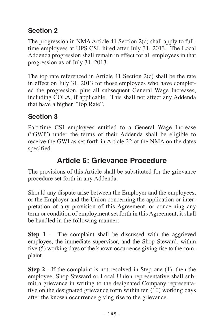## **Section 2**

The progression in NMA Article 41 Section 2(c) shall apply to fulltime employees at UPS CSI, hired after July 31, 2013. The Local Addenda progression shall remain in effect for all employees in that progression as of July 31, 2013.

The top rate referenced in Article 41 Section 2(c) shall be the rate in effect on July 31, 2013 for those employees who have completed the progression, plus all subsequent General Wage Increases, including COLA, if applicable. This shall not affect any Addenda that have a higher "Top Rate".

## **Section 3**

Part-time CSI employees entitled to a General Wage Increase ("GWI") under the terms of their Addenda shall be eligible to receive the GWI as set forth in Article 22 of the NMA on the dates specified.

## **Article 6: Grievance Procedure**

The provisions of this Article shall be substituted for the grievance procedure set forth in any Addenda.

Should any dispute arise between the Employer and the employees, or the Employer and the Union concerning the application or interpretation of any provision of this Agreement, or concerning any term or condition of employment set forth in this Agreement, it shall be handled in the following manner:

**Step 1** - The complaint shall be discussed with the aggrieved employee, the immediate supervisor, and the Shop Steward, within five (5) working days of the known occurrence giving rise to the complaint.

**Step 2** - If the complaint is not resolved in Step one (1), then the employee, Shop Steward or Local Union representative shall submit a grievance in writing to the designated Company representative on the designated grievance form within ten (10) working days after the known occurrence giving rise to the grievance.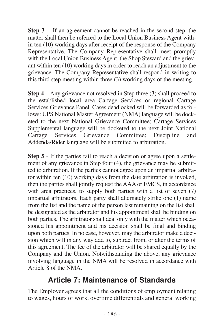**Step 3** - If an agreement cannot be reached in the second step, the matter shall then be referred to the Local Union Business Agent within ten (10) working days after receipt of the response of the Company Representative. The Company Representative shall meet promptly with the Local Union Business Agent, the Shop Steward and the grievant within ten (10) working days in order to reach an adjustment to the grievance. The Company Representative shall respond in writing to this third step meeting within three (3) working days of the meeting.

**Step 4** - Any grievance not resolved in Step three (3) shall proceed to the established local area Cartage Services or regional Cartage Services Grievance Panel. Cases deadlocked will be forwarded as follows: UPS National Master Agreement (NMA) language will be docketed to the next National Grievance Committee; Cartage Services Supplemental language will be docketed to the next Joint National Cartage Services Grievance Committee; Discipline and Services Grievance Committee; Discipline and Addenda/Rider language will be submitted to arbitration.

**Step 5** - If the parties fail to reach a decision or agree upon a settlement of any grievance in Step four (4), the grievance may be submitted to arbitration. If the parties cannot agree upon an impartial arbitrator within ten (10) working days from the date arbitration is invoked, then the parties shall jointly request the AAA or FMCS, in accordance with area practices, to supply both parties with a list of seven (7) impartial arbitrators. Each party shall alternately strike one (1) name from the list and the name of the person last remaining on the list shall be designated as the arbitrator and his appointment shall be binding on both parties. The arbitrator shall deal only with the matter which occasioned his appointment and his decision shall be final and binding upon both parties. In no case, however, may the arbitrator make a decision which will in any way add to, subtract from, or alter the terms of this agreement. The fee of the arbitrator will be shared equally by the Company and the Union. Notwithstanding the above, any grievance involving language in the NMA will be resolved in accordance with Article 8 of the NMA.

#### **Article 7: Maintenance of Standards**

The Employer agrees that all the conditions of employment relating to wages, hours of work, overtime differentials and general working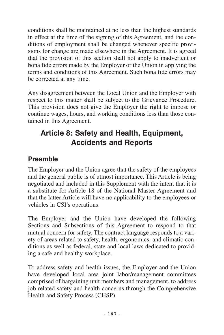conditions shall be maintained at no less than the highest standards in effect at the time of the signing of this Agreement, and the conditions of employment shall be changed whenever specific provisions for change are made elsewhere in the Agreement. It is agreed that the provision of this section shall not apply to inadvertent or bona fide errors made by the Employer or the Union in applying the terms and conditions of this Agreement. Such bona fide errors may be corrected at any time.

Any disagreement between the Local Union and the Employer with respect to this matter shall be subject to the Grievance Procedure. This provision does not give the Employer the right to impose or continue wages, hours, and working conditions less than those contained in this Agreement.

# **Article 8: Safety and Health, Equipment, Accidents and Reports**

#### **Preamble**

The Employer and the Union agree that the safety of the employees and the general public is of utmost importance. This Article is being negotiated and included in this Supplement with the intent that it is a substitute for Article 18 of the National Master Agreement and that the latter Article will have no applicability to the employees or vehicles in CSI's operations.

The Employer and the Union have developed the following Sections and Subsections of this Agreement to respond to that mutual concern for safety. The contract language responds to a variety of areas related to safety, health, ergonomics, and climatic conditions as well as federal, state and local laws dedicated to providing a safe and healthy workplace.

To address safety and health issues, the Employer and the Union have developed local area joint labor/management committees comprised of bargaining unit members and management, to address job related safety and health concerns through the Comprehensive Health and Safety Process (CHSP).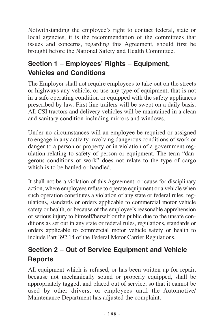Notwithstanding the employee's right to contact federal, state or local agencies, it is the recommendation of the committees that issues and concerns, regarding this Agreement, should first be brought before the National Safety and Health Committee.

## **Section 1 – Employees' Rights – Equipment, Vehicles and Conditions**

The Employer shall not require employees to take out on the streets or highways any vehicle, or use any type of equipment, that is not in a safe operating condition or equipped with the safety appliances prescribed by law. First line trailers will be swept on a daily basis. All CSI tractors and delivery vehicles will be maintained in a clean and sanitary condition including mirrors and windows.

Under no circumstances will an employee be required or assigned to engage in any activity involving dangerous conditions of work or danger to a person or property or in violation of a government regulation relating to safety of person or equipment. The term "dangerous conditions of work" does not relate to the type of cargo which is to be hauled or handled.

It shall not be a violation of this Agreement, or cause for disciplinary action, where employees refuse to operate equipment or a vehicle when such operation constitutes a violation of any state or federal rules, regulations, standards or orders applicable to commercial motor vehicle safety or health, or because of the employee's reasonable apprehension of serious injury to himself/herself or the public due to the unsafe conditions as set out in any state or federal rules, regulations, standards or orders applicable to commercial motor vehicle safety or health to include Part 392.14 of the Federal Motor Carrier Regulations.

## **Section 2 – Out of Service Equipment and Vehicle Reports**

All equipment which is refused, or has been written up for repair, because not mechanically sound or properly equipped, shall be appropriately tagged, and placed out of service, so that it cannot be used by other drivers, or employees until the Automotive/ Maintenance Department has adjusted the complaint.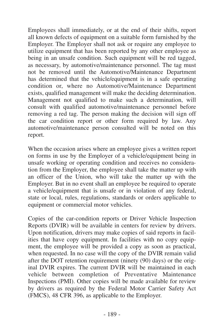Employees shall immediately, or at the end of their shifts, report all known defects of equipment on a suitable form furnished by the Employer. The Employer shall not ask or require any employee to utilize equipment that has been reported by any other employee as being in an unsafe condition. Such equipment will be red tagged, as necessary, by automotive/maintenance personnel. The tag must not be removed until the Automotive/Maintenance Department has determined that the vehicle/equipment is in a safe operating condition or, where no Automotive/Maintenance Department exists, qualified management will make the deciding determination. Management not qualified to make such a determination, will consult with qualified automotive/maintenance personnel before removing a red tag. The person making the decision will sign off the car condition report or other form required by law. Any automotive/maintenance person consulted will be noted on this report.

When the occasion arises where an employee gives a written report on forms in use by the Employer of a vehicle/equipment being in unsafe working or operating condition and receives no consideration from the Employer, the employee shall take the matter up with an officer of the Union, who will take the matter up with the Employer. But in no event shall an employee be required to operate a vehicle/equipment that is unsafe or in violation of any federal, state or local, rules, regulations, standards or orders applicable to equipment or commercial motor vehicles.

Copies of the car-condition reports or Driver Vehicle Inspection Reports (DVIR) will be available in centers for review by drivers. Upon notification, drivers may make copies of said reports in facilities that have copy equipment. In facilities with no copy equipment, the employee will be provided a copy as soon as practical, when requested. In no case will the copy of the DVIR remain valid after the DOT retention requirement (ninety (90) days) or the original DVIR expires. The current DVIR will be maintained in each whicle between completion of Preventative Maintenance Inspections (PMI). Other copies will be made available for review by drivers as required by the Federal Motor Carrier Safety Act (FMCS), 48 CFR 396, as applicable to the Employer.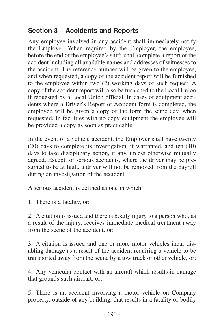#### **Section 3 – Accidents and Reports**

Any employee involved in any accident shall immediately notify the Employer. When required by the Employer, the employee, before the end of the employee's shift, shall complete a report of the accident including all available names and addresses of witnesses to the accident. The reference number will be given to the employee, and when requested, a copy of the accident report will be furnished to the employee within two (2) working days of such request. A copy of the accident report will also be furnished to the Local Union if requested by a Local Union official. In cases of equipment accidents where a Driver's Report of Accident form is completed, the employee will be given a copy of the form the same day, when requested. In facilities with no copy equipment the employee will be provided a copy as soon as practicable.

In the event of a vehicle accident, the Employer shall have twenty (20) days to complete its investigation, if warranted, and ten (10) days to take disciplinary action, if any, unless otherwise mutually agreed. Except for serious accidents, where the driver may be presumed to be at fault, a driver will not be removed from the payroll during an investigation of the accident.

A serious accident is defined as one in which:

1. There is a fatality, or;

2. A citation is issued and there is bodily injury to a person who, as a result of the injury, receives immediate medical treatment away from the scene of the accident, or:

3. A citation is issued and one or more motor vehicles incur disabling damage as a result of the accident requiring a vehicle to be transported away from the scene by a tow truck or other vehicle, or;

4. Any vehicular contact with an aircraft which results in damage that grounds such aircraft, or;

5. There is an accident involving a motor vehicle on Company property, outside of any building, that results in a fatality or bodily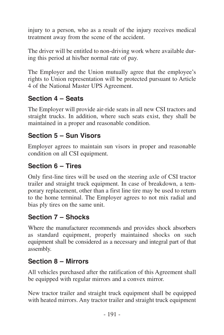injury to a person, who as a result of the injury receives medical treatment away from the scene of the accident.

The driver will be entitled to non-driving work where available during this period at his/her normal rate of pay.

The Employer and the Union mutually agree that the employee's rights to Union representation will be protected pursuant to Article 4 of the National Master UPS Agreement.

#### **Section 4 – Seats**

The Employer will provide air-ride seats in all new CSI tractors and straight trucks. In addition, where such seats exist, they shall be maintained in a proper and reasonable condition.

#### **Section 5 – Sun Visors**

Employer agrees to maintain sun visors in proper and reasonable condition on all CSI equipment.

#### **Section 6 – Tires**

Only first-line tires will be used on the steering axle of CSI tractor trailer and straight truck equipment. In case of breakdown, a temporary replacement, other than a first line tire may be used to return to the home terminal. The Employer agrees to not mix radial and bias ply tires on the same unit.

#### **Section 7 – Shocks**

Where the manufacturer recommends and provides shock absorbers as standard equipment, properly maintained shocks on such equipment shall be considered as a necessary and integral part of that assembly.

#### **Section 8 – Mirrors**

All vehicles purchased after the ratification of this Agreement shall be equipped with regular mirrors and a convex mirror.

New tractor trailer and straight truck equipment shall be equipped with heated mirrors. Any tractor trailer and straight truck equipment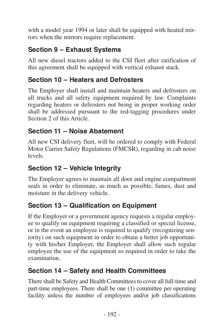with a model year 1994 or later shall be equipped with heated mirrors when the mirrors require replacement.

## **Section 9 – Exhaust Systems**

All new diesel tractors added to the CSI fleet after ratification of this agreement shall be equipped with vertical exhaust stack.

#### **Section 10 – Heaters and Defrosters**

The Employer shall install and maintain heaters and defrosters on all trucks and all safety equipment required by law. Complaints regarding heaters or defrosters not being in proper working order shall be addressed pursuant to the red-tagging procedures under Section 2 of this Article.

#### **Section 11 – Noise Abatement**

All new CSI delivery fleet, will be ordered to comply with Federal Motor Carrier Safety Regulations (FMCSR), regarding in cab noise levels.

#### **Section 12 – Vehicle Integrity**

The Employer agrees to maintain all door and engine compartment seals in order to eliminate, as much as possible, fumes, dust and moisture in the delivery vehicle.

#### **Section 13 – Qualification on Equipment**

If the Employer or a government agency requests a regular employee to qualify on equipment requiring a classified or special license, or in the event an employee is required to qualify (recognizing seniority) on such equipment in order to obtain a better job opportunity with his/her Employer, the Employer shall allow such regular employee the use of the equipment so required in order to take the examination.

#### **Section 14 – Safety and Health Committees**

There shall be Safety and Health Committees to cover all full-time and part-time employees. There shall be one (1) committee per operating facility unless the number of employees and/or job classifications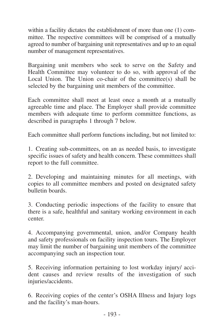within a facility dictates the establishment of more than one (1) committee. The respective committees will be comprised of a mutually agreed to number of bargaining unit representatives and up to an equal number of management representatives.

Bargaining unit members who seek to serve on the Safety and Health Committee may volunteer to do so, with approval of the Local Union. The Union co-chair of the committee(s) shall be selected by the bargaining unit members of the committee.

Each committee shall meet at least once a month at a mutually agreeable time and place. The Employer shall provide committee members with adequate time to perform committee functions, as described in paragraphs 1 through 7 below.

Each committee shall perform functions including, but not limited to:

1. Creating sub-committees, on an as needed basis, to investigate specific issues of safety and health concern. These committees shall report to the full committee.

2. Developing and maintaining minutes for all meetings, with copies to all committee members and posted on designated safety bulletin boards.

3. Conducting periodic inspections of the facility to ensure that there is a safe, healthful and sanitary working environment in each center.

4. Accompanying governmental, union, and/or Company health and safety professionals on facility inspection tours. The Employer may limit the number of bargaining unit members of the committee accompanying such an inspection tour.

5. Receiving information pertaining to lost workday injury/ accident causes and review results of the investigation of such injuries/accidents.

6. Receiving copies of the center's OSHA Illness and Injury logs and the facility's man-hours.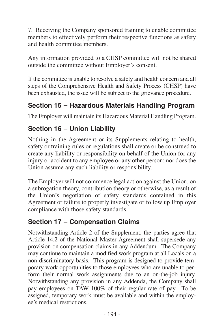7. Receiving the Company sponsored training to enable committee members to effectively perform their respective functions as safety and health committee members.

Any information provided to a CHSP committee will not be shared outside the committee without Employer's consent.

If the committee is unable to resolve a safety and health concern and all steps of the Comprehensive Health and Safety Process (CHSP) have been exhausted, the issue will be subject to the grievance procedure.

#### **Section 15 – Hazardous Materials Handling Program**

The Employer will maintain its Hazardous Material Handling Program.

#### **Section 16 – Union Liability**

Nothing in the Agreement or its Supplements relating to health, safety or training rules or regulations shall create or be construed to create any liability or responsibility on behalf of the Union for any injury or accident to any employee or any other person; nor does the Union assume any such liability or responsibility.

The Employer will not commence legal action against the Union, on a subrogation theory, contribution theory or otherwise, as a result of the Union's negotiation of safety standards contained in this Agreement or failure to properly investigate or follow up Employer compliance with those safety standards.

#### **Section 17 – Compensation Claims**

Notwithstanding Article 2 of the Supplement, the parties agree that Article 14.2 of the National Master Agreement shall supersede any provision on compensation claims in any Addendum. The Company may continue to maintain a modified work program at all Locals on a non-discriminatory basis. This program is designed to provide temporary work opportunities to those employees who are unable to perform their normal work assignments due to an on-the-job injury. Notwithstanding any provision in any Addenda, the Company shall pay employees on TAW 100% of their regular rate of pay. To be assigned, temporary work must be available and within the employee's medical restrictions.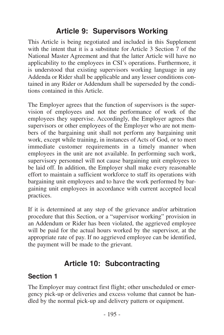## **Article 9: Supervisors Working**

This Article is being negotiated and included in this Supplement with the intent that it is a substitute for Article 3 Section 7 of the National Master Agreement and that the latter Article will have no applicability to the employees in CSI's operations. Furthermore, it is understood that existing supervisors working language in any Addenda or Rider shall be applicable and any lesser conditions contained in any Rider or Addendum shall be superseded by the conditions contained in this Article.

The Employer agrees that the function of supervisors is the supervision of employees and not the performance of work of the employees they supervise. Accordingly, the Employer agrees that supervisors or other employees of the Employer who are not members of the bargaining unit shall not perform any bargaining unit work, except while training, in instances of Acts of God, or to meet immediate customer requirements in a timely manner when employees in the unit are not available. In performing such work, supervisory personnel will not cause bargaining unit employees to be laid off. In addition, the Employer shall make every reasonable effort to maintain a sufficient workforce to staff its operations with bargaining unit employees and to have the work performed by bargaining unit employees in accordance with current accepted local practices.

If it is determined at any step of the grievance and/or arbitration procedure that this Section, or a "supervisor working" provision in an Addendum or Rider has been violated, the aggrieved employee will be paid for the actual hours worked by the supervisor, at the appropriate rate of pay. If no aggrieved employee can be identified, the payment will be made to the grievant.

## **Article 10: Subcontracting**

#### **Section 1**

The Employer may contract first flight; other unscheduled or emergency pick-up or deliveries and excess volume that cannot be handled by the normal pick-up and delivery pattern or equipment.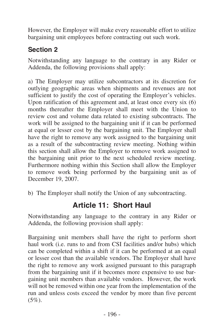However, the Employer will make every reasonable effort to utilize bargaining unit employees before contracting out such work.

## **Section 2**

Notwithstanding any language to the contrary in any Rider or Addenda, the following provisions shall apply:

a) The Employer may utilize subcontractors at its discretion for outlying geographic areas when shipments and revenues are not sufficient to justify the cost of operating the Employer's vehicles. Upon ratification of this agreement and, at least once every six (6) months thereafter the Employer shall meet with the Union to review cost and volume data related to existing subcontracts. The work will be assigned to the bargaining unit if it can be performed at equal or lesser cost by the bargaining unit. The Employer shall have the right to remove any work assigned to the bargaining unit as a result of the subcontracting review meeting. Nothing within this section shall allow the Employer to remove work assigned to the bargaining unit prior to the next scheduled review meeting. Furthermore nothing within this Section shall allow the Employer to remove work being performed by the bargaining unit as of December 19, 2007.

b) The Employer shall notify the Union of any subcontracting.

## **Article 11: Short Haul**

Notwithstanding any language to the contrary in any Rider or Addenda, the following provision shall apply:

Bargaining unit members shall have the right to perform short haul work (i.e. runs to and from CSI facilities and/or hubs) which can be completed within a shift if it can be performed at an equal or lesser cost than the available vendors. The Employer shall have the right to remove any work assigned pursuant to this paragraph from the bargaining unit if it becomes more expensive to use bargaining unit members than available vendors. However, the work will not be removed within one year from the implementation of the run and unless costs exceed the vendor by more than five percent  $(5\%)$ .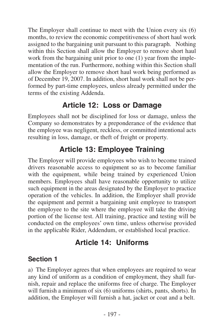The Employer shall continue to meet with the Union every six (6) months, to review the economic competitiveness of short haul work assigned to the bargaining unit pursuant to this paragraph. Nothing within this Section shall allow the Employer to remove short haul work from the bargaining unit prior to one (1) year from the implementation of the run. Furthermore, nothing within this Section shall allow the Employer to remove short haul work being performed as of December 19, 2007. In addition, short haul work shall not be performed by part-time employees, unless already permitted under the terms of the existing Addenda.

## **Article 12: Loss or Damage**

Employees shall not be disciplined for loss or damage, unless the Company so demonstrates by a preponderance of the evidence that the employee was negligent, reckless, or committed intentional acts resulting in loss, damage, or theft of freight or property.

# **Article 13: Employee Training**

The Employer will provide employees who wish to become trained drivers reasonable access to equipment so as to become familiar with the equipment, while being trained by experienced Union members. Employees shall have reasonable opportunity to utilize such equipment in the areas designated by the Employer to practice operation of the vehicles. In addition, the Employer shall provide the equipment and permit a bargaining unit employee to transport the employee to the site where the employee will take the driving portion of the license test. All training, practice and testing will be conducted on the employees' own time, unless otherwise provided in the applicable Rider, Addendum, or established local practice.

# **Article 14: Uniforms**

#### **Section 1**

a) The Employer agrees that when employees are required to wear any kind of uniform as a condition of employment, they shall furnish, repair and replace the uniforms free of charge. The Employer will furnish a minimum of six (6) uniforms (shirts, pants, shorts). In addition, the Employer will furnish a hat, jacket or coat and a belt.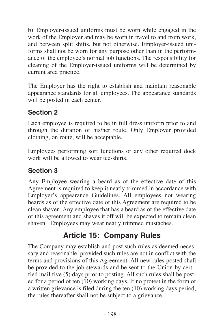b) Employer-issued uniforms must be worn while engaged in the work of the Employer and may be worn in travel to and from work, and between split shifts, but not otherwise. Employer-issued uniforms shall not be worn for any purpose other than in the performance of the employee's normal job functions. The responsibility for cleaning of the Employer-issued uniforms will be determined by current area practice.

The Employer has the right to establish and maintain reasonable appearance standards for all employees. The appearance standards will be posted in each center.

#### **Section 2**

Each employee is required to be in full dress uniform prior to and through the duration of his/her route. Only Employer provided clothing, on route, will be acceptable.

Employees performing sort functions or any other required dock work will be allowed to wear tee-shirts.

#### **Section 3**

Any Employee wearing a beard as of the effective date of this Agreement is required to keep it neatly trimmed in accordance with Employer's appearance Guidelines. All employees not wearing beards as of the effective date of this Agreement are required to be clean shaven. Any employee that has a beard as of the effective date of this agreement and shaves it off will be expected to remain clean shaven. Employees may wear neatly trimmed mustaches.

## **Article 15: Company Rules**

The Company may establish and post such rules as deemed necessary and reasonable, provided such rules are not in conflict with the terms and provisions of this Agreement. All new rules posted shall be provided to the job stewards and be sent to the Union by certified mail five (5) days prior to posting. All such rules shall be posted for a period of ten (10) working days. If no protest in the form of a written grievance is filed during the ten (10) working days period, the rules thereafter shall not be subject to a grievance.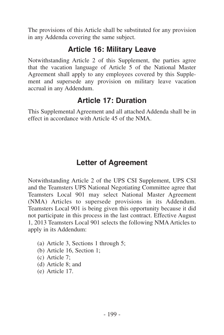The provisions of this Article shall be substituted for any provision in any Addenda covering the same subject.

## **Article 16: Military Leave**

Notwithstanding Article 2 of this Supplement, the parties agree that the vacation language of Article 5 of the National Master Agreement shall apply to any employees covered by this Supplement and supersede any provision on military leave vacation accrual in any Addendum.

## **Article 17: Duration**

This Supplemental Agreement and all attached Addenda shall be in effect in accordance with Article 45 of the NMA.

# **Letter of Agreement**

Notwithstanding Article 2 of the UPS CSI Supplement, UPS CSI and the Teamsters UPS National Negotiating Committee agree that Teamsters Local 901 may select National Master Agreement (NMA) Articles to supersede provisions in its Addendum. Teamsters Local 901 is being given this opportunity because it did not participate in this process in the last contract. Effective August 1, 2013 Teamsters Local 901 selects the following NMAArticles to apply in its Addendum:

- (a) Article 3, Sections 1 through 5;
- (b) Article 16, Section 1;
- (c) Article 7;
- (d) Article 8; and
- (e) Article 17.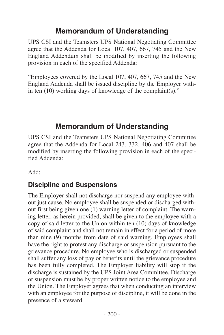## **Memorandum of Understanding**

UPS CSI and the Teamsters UPS National Negotiating Committee agree that the Addenda for Local 107, 407, 667, 745 and the New England Addendum shall be modified by inserting the following provision in each of the specified Addenda:

"Employees covered by the Local 107, 407, 667, 745 and the New England Addenda shall be issued discipline by the Employer within ten (10) working days of knowledge of the complaint(s)."

## **Memorandum of Understanding**

UPS CSI and the Teamsters UPS National Negotiating Committee agree that the Addenda for Local 243, 332, 406 and 407 shall be modified by inserting the following provision in each of the specified Addenda:

Add:

#### **Discipline and Suspensions**

The Employer shall not discharge nor suspend any employee without just cause. No employee shall be suspended or discharged without first being given one (1) warning letter of complaint. The warning letter, as herein provided, shall be given to the employee with a copy of said letter to the Union within ten (10) days of knowledge of said complaint and shall not remain in effect for a period of more than nine (9) months from date of said warning. Employees shall have the right to protest any discharge or suspension pursuant to the grievance procedure. No employee who is discharged or suspended shall suffer any loss of pay or benefits until the grievance procedure has been fully completed. The Employer liability will stop if the discharge is sustained by the UPS Joint Area Committee. Discharge or suspension must be by proper written notice to the employee and the Union. The Employer agrees that when conducting an interview with an employee for the purpose of discipline, it will be done in the presence of a steward.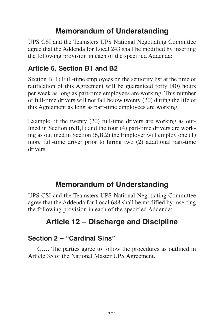## **Memorandum of Understanding**

UPS CSI and the Teamsters UPS National Negotiating Committee agree that the Addenda for Local 243 shall be modified by inserting the following provision in each of the specified Addenda:

## **Article 6, Section B1 and B2**

Section B. 1) Full-time employees on the seniority list at the time of ratification of this Agreement will be guaranteed forty (40) hours per week as long as part-time employees are working. This number of full-time drivers will not fall below twenty (20) during the life of this Agreement as long as part-time employees are working.

Example: if the twenty (20) full-time drivers are working as outlined in Section (6,B,1) and the four (4) part-time drivers are working as outlined in Section (6,B,2) the Employer will employ one (1) more full-time driver prior to hiring two (2) additional part-time drivers.

## **Memorandum of Understanding**

UPS CSI and the Teamsters UPS National Negotiating Committee agree that the Addenda for Local 688 shall be modified by inserting the following provision in each of the specified Addenda:

# **Article 12 – Discharge and Discipline**

#### **Section 2 – "Cardinal Sins"**

C…. The parties agree to follow the procedures as outlined in Article 35 of the National Master UPS Agreement.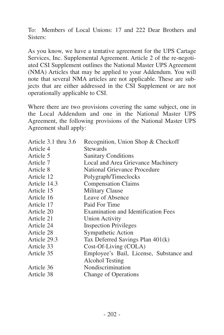To: Members of Local Unions: 17 and 222 Dear Brothers and Sisters:

As you know, we have a tentative agreement for the UPS Cartage Services, Inc. Supplemental Agreement. Article 2 of the re-negotiated CSI Supplement outlines the National Master UPS Agreement (NMA) Articles that may be applied to your Addendum. You will note that several NMA articles are not applicable. These are subjects that are either addressed in the CSI Supplement or are not operationally applicable to CSI.

| Article 3.1 thru 3.6 | Recognition, Union Shop & Checkoff         |
|----------------------|--------------------------------------------|
| Article 4            | <b>Stewards</b>                            |
| Article 5            | <b>Sanitary Conditions</b>                 |
| Article 7            | Local and Area Grievance Machinery         |
| Article 8            | National Grievance Procedure               |
| Article 12           | Polygraph/Timeclocks                       |
| Article 14.3         | <b>Compensation Claims</b>                 |
| Article 15           | <b>Military Clause</b>                     |
| Article 16           | Leave of Absence                           |
| Article 17           | Paid For Time                              |
| Article 20           | <b>Examination and Identification Fees</b> |
| Article 21           | <b>Union Activity</b>                      |
| Article 24           | <b>Inspection Privileges</b>               |
| Article 28           | Sympathetic Action                         |
| Article 29.3         | Tax Deferred Savings Plan 401(k)           |
| Article 33           | Cost-Of-Living (COLA)                      |
| Article 35           | Employee's Bail, License, Substance and    |
|                      | Alcohol Testing                            |
| Article 36           | Nondiscrimination                          |
| Article 38           | Change of Operations                       |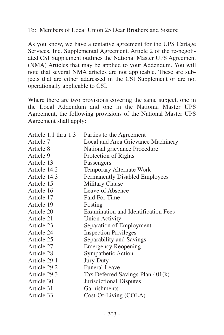To: Members of Local Union 25 Dear Brothers and Sisters:

As you know, we have a tentative agreement for the UPS Cartage Services, Inc. Supplemental Agreement. Article 2 of the re-negotiated CSI Supplement outlines the National Master UPS Agreement (NMA) Articles that may be applied to your Addendum. You will note that several NMA articles are not applicable. These are subjects that are either addressed in the CSI Supplement or are not operationally applicable to CSI.

| Parties to the Agreement                   |
|--------------------------------------------|
| Local and Area Grievance Machinery         |
| National grievance Procedure               |
| Protection of Rights                       |
| Passengers                                 |
| Temporary Alternate Work                   |
| Permanently Disabled Employees             |
| Military Clause                            |
| Leave of Absence                           |
| Paid For Time                              |
| Posting                                    |
| <b>Examination and Identification Fees</b> |
| <b>Union Activity</b>                      |
| Separation of Employment                   |
| <b>Inspection Privileges</b>               |
| Separability and Savings                   |
| <b>Emergency Reopening</b>                 |
| Sympathetic Action                         |
| <b>Jury Duty</b>                           |
| Funeral Leave                              |
| Tax Deferred Savings Plan 401(k)           |
| Jurisdictional Disputes                    |
| Garnishments                               |
| Cost-Of-Living (COLA)                      |
|                                            |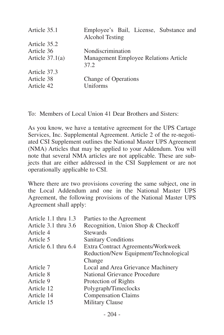| Article 35.1      | Employee's Bail, License, Substance and<br>Alcohol Testing |
|-------------------|------------------------------------------------------------|
| Article 35.2      |                                                            |
| Article 36        | Nondiscrimination                                          |
| Article $37.1(a)$ | Management Employee Relations Article<br>37.2              |
| Article 37.3      |                                                            |
| Article 38        | Change of Operations                                       |
| Article 42        | Uniforms                                                   |
|                   |                                                            |

To: Members of Local Union 41 Dear Brothers and Sisters:

As you know, we have a tentative agreement for the UPS Cartage Services, Inc. Supplemental Agreement. Article 2 of the re-negotiated CSI Supplement outlines the National Master UPS Agreement (NMA) Articles that may be applied to your Addendum. You will note that several NMA articles are not applicable. These are subjects that are either addressed in the CSI Supplement or are not operationally applicable to CSI.

| Article 1.1 thru 1.3 | Parties to the Agreement              |
|----------------------|---------------------------------------|
| Article 3.1 thru 3.6 | Recognition, Union Shop & Checkoff    |
| Article 4            | <b>Stewards</b>                       |
| Article 5            | <b>Sanitary Conditions</b>            |
| Article 6.1 thru 6.4 | Extra Contract Agreements/Workweek    |
|                      | Reduction/New Equipment/Technological |
|                      | Change                                |
| Article 7            | Local and Area Grievance Machinery    |
| Article 8            | National Grievance Procedure          |
| Article 9            | Protection of Rights                  |
| Article 12           | Polygraph/Timeclocks                  |
| Article 14           | <b>Compensation Claims</b>            |
| Article 15           | Military Clause                       |
|                      |                                       |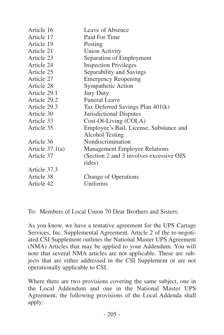| Article 16        | Leave of Absence                         |
|-------------------|------------------------------------------|
| Article 17        | Paid For Time                            |
| Article 19        | Posting                                  |
| Article 21        | <b>Union Activity</b>                    |
| Article 23        | Separation of Employment                 |
| Article 24        | <b>Inspection Privileges</b>             |
| Article 25        | Separability and Savings                 |
| Article 27        | <b>Emergency Reopening</b>               |
| Article 28        | Sympathetic Action                       |
| Article 29.1      | <b>Jury Duty</b>                         |
| Article 29.2      | Funeral Leave                            |
| Article 29.3      | Tax Deferred Savings Plan 401(k)         |
| Article 30        | Jurisdictional Disputes                  |
| Article 33        | Cost-Of-Living (COLA)                    |
| Article 35        | Employee's Bail, License, Substance and  |
|                   | Alcohol Testing                          |
| Article 36        | Nondiscrimination                        |
| Article $37.1(a)$ | Management Employee Relations            |
| Article 37        | (Section 2 and 3 involves excessive OJS) |
|                   | rides)                                   |
| Article 37.3      |                                          |
| Article 38        | Change of Operations                     |
| Article 42        | Uniforms                                 |
|                   |                                          |

To: Members of Local Union 70 Dear Brothers and Sisters:

As you know, we have a tentative agreement for the UPS Cartage Services, Inc. Supplemental Agreement. Article 2 of the re-negotiated CSI Supplement outlines the National Master UPS Agreement (NMA) Articles that may be applied to your Addendum. You will note that several NMA articles are not applicable. These are subjects that are either addressed in the CSI Supplement or are not operationally applicable to CSI.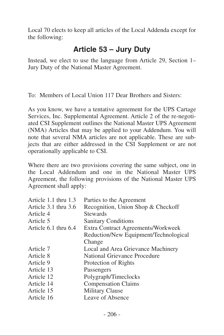Local 70 elects to keep all articles of the Local Addenda except for the following:

## **Article 53 – Jury Duty**

Instead, we elect to use the language from Article 29, Section 1– Jury Duty of the National Master Agreement.

To: Members of Local Union 117 Dear Brothers and Sisters:

As you know, we have a tentative agreement for the UPS Cartage Services, Inc. Supplemental Agreement. Article 2 of the re-negotiated CSI Supplement outlines the National Master UPS Agreement (NMA) Articles that may be applied to your Addendum. You will note that several NMA articles are not applicable. These are subjects that are either addressed in the CSI Supplement or are not operationally applicable to CSI.

| Article 1.1 thru 1.3 | Parties to the Agreement              |
|----------------------|---------------------------------------|
| Article 3.1 thru 3.6 | Recognition, Union Shop & Checkoff    |
| Article 4            | <b>Stewards</b>                       |
| Article 5            | <b>Sanitary Conditions</b>            |
| Article 6.1 thru 6.4 | Extra Contract Agreements/Workweek    |
|                      | Reduction/New Equipment/Technological |
|                      | Change                                |
| Article 7            | Local and Area Grievance Machinery    |
| Article 8            | National Grievance Procedure          |
| Article 9            | Protection of Rights                  |
| Article 13           | Passengers                            |
| Article 12           | Polygraph/Timeclocks                  |
| Article 14           | <b>Compensation Claims</b>            |
| Article 15           | <b>Military Clause</b>                |
| Article 16           | Leave of Absence                      |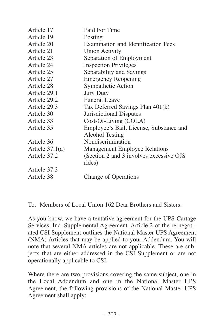| Paid For Time                                              |
|------------------------------------------------------------|
|                                                            |
| Posting                                                    |
| Examination and Identification Fees                        |
| <b>Union Activity</b>                                      |
| Separation of Employment                                   |
| <b>Inspection Privileges</b>                               |
| Separability and Savings                                   |
| <b>Emergency Reopening</b>                                 |
| Sympathetic Action                                         |
| <b>Jury Duty</b>                                           |
| Funeral Leave                                              |
| Tax Deferred Savings Plan 401(k)                           |
| Jurisdictional Disputes                                    |
| Cost-Of-Living (COLA)                                      |
| Employee's Bail, License, Substance and<br>Alcohol Testing |
| Nondiscrimination                                          |
| <b>Management Employee Relations</b>                       |
| (Section 2 and 3 involves excessive OJS)<br>rides)         |
|                                                            |
| Change of Operations                                       |
|                                                            |

To: Members of Local Union 162 Dear Brothers and Sisters:

As you know, we have a tentative agreement for the UPS Cartage Services, Inc. Supplemental Agreement. Article 2 of the re-negotiated CSI Supplement outlines the National Master UPS Agreement (NMA) Articles that may be applied to your Addendum. You will note that several NMA articles are not applicable. These are subjects that are either addressed in the CSI Supplement or are not operationally applicable to CSI.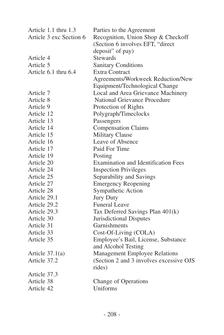| Parties to the Agreement                 |
|------------------------------------------|
| Recognition, Union Shop & Checkoff       |
| (Section 6 involves EFT, "direct         |
| deposit" of pay)                         |
| <b>Stewards</b>                          |
| <b>Sanitary Conditions</b>               |
| <b>Extra Contract</b>                    |
| Agreements/Workweek Reduction/New        |
| Equipment/Technological Change           |
| Local and Area Grievance Machinery       |
| National Grievance Procedure             |
| Protection of Rights                     |
| Polygraph/Timeclocks                     |
| Passengers                               |
| <b>Compensation Claims</b>               |
| <b>Military Clause</b>                   |
| Leave of Absence                         |
| Paid For Time                            |
| Posting                                  |
| Examination and Identification Fees      |
| <b>Inspection Privileges</b>             |
| Separability and Savings                 |
| <b>Emergency Reopening</b>               |
| Sympathetic Action                       |
| <b>Jury Duty</b>                         |
| <b>Funeral Leave</b>                     |
| Tax Deferred Savings Plan 401(k)         |
| Jurisdictional Disputes                  |
| Garnishments                             |
| Cost-Of-Living (COLA)                    |
| Employee's Bail, License, Substance      |
| and Alcohol Testing                      |
| Management Employee Relations            |
| (Section 2 and 3 involves excessive OJS) |
| rides)                                   |
|                                          |
| Change of Operations                     |
| Uniforms                                 |
|                                          |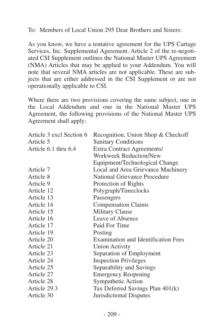To: Members of Local Union 295 Dear Brothers and Sisters:

As you know, we have a tentative agreement for the UPS Cartage Services, Inc. Supplemental Agreement. Article 2 of the re-negotiated CSI Supplement outlines the National Master UPS Agreement (NMA) Articles that may be applied to your Addendum. You will note that several NMA articles are not applicable. These are subjects that are either addressed in the CSI Supplement or are not operationally applicable to CSI.

| Article 3 excl Section 6 | Recognition, Union Shop & Checkoff         |
|--------------------------|--------------------------------------------|
| Article 5                | <b>Sanitary Conditions</b>                 |
| Article 6.1 thru 6.4     | Extra Contract Agreements/                 |
|                          | Workweek Reduction/New                     |
|                          | Equipment/Technological Change             |
| Article 7                | Local and Area Grievance Machinery         |
| Article 8                | National Grievance Procedure               |
| Article 9                | Protection of Rights                       |
| Article 12               | Polygraph/Timeclocks                       |
| Article 13               | Passengers                                 |
| Article 14               | <b>Compensation Claims</b>                 |
| Article 15               | <b>Military Clause</b>                     |
| Article 16               | Leave of Absence                           |
| Article 17               | Paid For Time                              |
| Article 19               | Posting                                    |
| Article 20               | <b>Examination and Identification Fees</b> |
| Article 21               | <b>Union Activity</b>                      |
| Article 23               | Separation of Employment                   |
| Article 24               | <b>Inspection Privileges</b>               |
| Article 25               | Separability and Savings                   |
| Article 27               | <b>Emergency Reopening</b>                 |
| Article 28               | Sympathetic Action                         |
| Article 29.3             | Tax Deferred Savings Plan 401(k)           |
| Article 30               | Jurisdictional Disputes                    |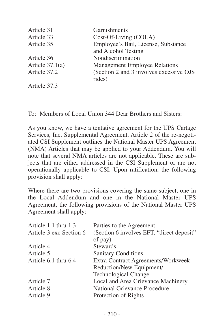| Article 31        | Garnishments                            |
|-------------------|-----------------------------------------|
| Article 33        | Cost-Of-Living (COLA)                   |
| Article 35        | Employee's Bail, License, Substance     |
|                   | and Alcohol Testing                     |
| Article 36        | Nondiscrimination                       |
| Article $37.1(a)$ | <b>Management Employee Relations</b>    |
| Article 37.2      | (Section 2 and 3 involves excessive OJS |
|                   | rides)                                  |
| Article 37.3      |                                         |

To: Members of Local Union 344 Dear Brothers and Sisters:

As you know, we have a tentative agreement for the UPS Cartage Services, Inc. Supplemental Agreement. Article 2 of the re-negotiated CSI Supplement outlines the National Master UPS Agreement (NMA) Articles that may be applied to your Addendum. You will note that several NMA articles are not applicable. These are subjects that are either addressed in the CSI Supplement or are not operationally applicable to CSI. Upon ratification, the following provision shall apply:

| Article 1.1 thru 1.3    | Parties to the Agreement                  |
|-------------------------|-------------------------------------------|
| Article 3 exc Section 6 | (Section 6 involves EFT, "direct deposit" |
|                         | of pay)                                   |
| Article 4               | <b>Stewards</b>                           |
| Article 5               | <b>Sanitary Conditions</b>                |
| Article 6.1 thru 6.4    | Extra Contract Agreements/Workweek        |
|                         | Reduction/New Equipment/                  |
|                         | <b>Technological Change</b>               |
| Article 7               | Local and Area Grievance Machinery        |
| Article 8               | National Grievance Procedure              |
| Article 9               | Protection of Rights                      |
|                         |                                           |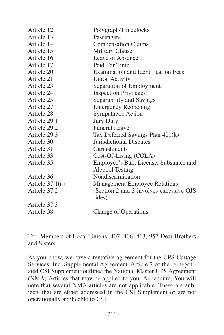| Article 12        | Polygraph/Timeclocks                     |
|-------------------|------------------------------------------|
| Article 13        | Passengers                               |
| Article 14        | Compensation Claims                      |
| Article 15        | <b>Military Clause</b>                   |
| Article 16        | Leave of Absence                         |
| Article 17        | Paid For Time                            |
| Article 20        | Examination and Identification Fees      |
| Article 21        | Union Activity                           |
| Article 23        | Separation of Employment                 |
| Article 24        | <b>Inspection Privileges</b>             |
| Article 25        | Separability and Savings                 |
| Article 27        | <b>Emergency Reopening</b>               |
| Article 28        | Sympathetic Action                       |
| Article 29.1      | <b>Jury Duty</b>                         |
| Article 29.2      | Funeral Leave                            |
| Article 29.3      | Tax Deferred Savings Plan 401(k)         |
| Article 30        | Jurisdictional Disputes                  |
| Article 31        | Garnishments                             |
| Article 33        | Cost-Of-Living (COLA)                    |
| Article 35        | Employee's Bail, License, Substance and  |
|                   | Alcohol Testing                          |
| Article 36        | Nondiscrimination                        |
| Article $37.1(a)$ | <b>Management Employee Relations</b>     |
| Article 37.2      | (Section 2 and 3 involves excessive OJS) |
|                   | rides)                                   |
| Article 37.3      |                                          |
| Article 38        | Change of Operations                     |
|                   |                                          |

To: Members of Local Unions: 407, 406, 413, 957 Dear Brothers and Sisters:

As you know, we have a tentative agreement for the UPS Cartage Services, Inc. Supplemental Agreement. Article 2 of the re-negotiated CSI Supplement outlines the National Master UPS Agreement (NMA) Articles that may be applied to your Addendum. You will note that several NMA articles are not applicable. These are subjects that are either addressed in the CSI Supplement or are not operationally applicable to CSI.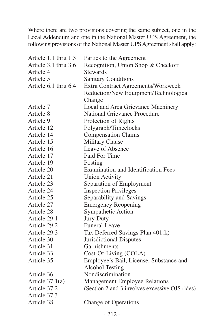| Article 1.1 thru 1.3 | Parties to the Agreement                       |
|----------------------|------------------------------------------------|
| Article 3.1 thru 3.6 | Recognition, Union Shop & Checkoff             |
| Article 4            | <b>Stewards</b>                                |
| Article 5            | <b>Sanitary Conditions</b>                     |
| Article 6.1 thru 6.4 | Extra Contract Agreements/Workweek             |
|                      | Reduction/New Equipment/Technological          |
|                      | Change                                         |
| Article 7            | Local and Area Grievance Machinery             |
| Article 8            | National Grievance Procedure                   |
| Article 9            | Protection of Rights                           |
| Article 12           | Polygraph/Timeclocks                           |
| Article 14           | <b>Compensation Claims</b>                     |
| Article 15           | <b>Military Clause</b>                         |
| Article 16           | Leave of Absence                               |
| Article 17           | Paid For Time                                  |
| Article 19           | Posting                                        |
| Article 20           | <b>Examination and Identification Fees</b>     |
| Article 21           | <b>Union Activity</b>                          |
| Article 23           | Separation of Employment                       |
| Article 24           | <b>Inspection Privileges</b>                   |
| Article 25           | Separability and Savings                       |
| Article 27           | <b>Emergency Reopening</b>                     |
| Article 28           | Sympathetic Action                             |
| Article 29.1         | <b>Jury Duty</b>                               |
| Article 29.2         | <b>Funeral Leave</b>                           |
| Article 29.3         | Tax Deferred Savings Plan 401(k)               |
| Article 30           | Jurisdictional Disputes                        |
| Article 31           | Garnishments                                   |
| Article 33           | Cost-Of-Living (COLA)                          |
| Article 35           | Employee's Bail, License, Substance and        |
|                      | Alcohol Testing                                |
| Article 36           | Nondiscrimination                              |
| Article $37.1(a)$    | Management Employee Relations                  |
| Article 37.2         | (Section 2 and 3 involves excessive OJS rides) |
| Article 37.3         |                                                |
| Article 38           | Change of Operations                           |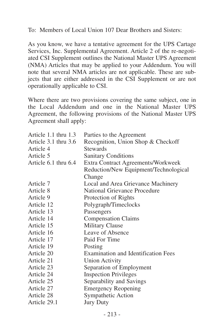To: Members of Local Union 107 Dear Brothers and Sisters:

As you know, we have a tentative agreement for the UPS Cartage Services, Inc. Supplemental Agreement. Article 2 of the re-negotiated CSI Supplement outlines the National Master UPS Agreement (NMA) Articles that may be applied to your Addendum. You will note that several NMA articles are not applicable. These are subjects that are either addressed in the CSI Supplement or are not operationally applicable to CSI.

| Parties to the Agreement                   |
|--------------------------------------------|
| Recognition, Union Shop & Checkoff         |
| <b>Stewards</b>                            |
| <b>Sanitary Conditions</b>                 |
| Extra Contract Agreements/Workweek         |
| Reduction/New Equipment/Technological      |
| Change                                     |
| Local and Area Grievance Machinery         |
| National Grievance Procedure               |
| Protection of Rights                       |
| Polygraph/Timeclocks                       |
| Passengers                                 |
| <b>Compensation Claims</b>                 |
| Military Clause                            |
| Leave of Absence                           |
| Paid For Time                              |
| Posting                                    |
| <b>Examination and Identification Fees</b> |
| <b>Union Activity</b>                      |
| Separation of Employment                   |
| <b>Inspection Privileges</b>               |
| Separability and Savings                   |
| <b>Emergency Reopening</b>                 |
| Sympathetic Action                         |
| <b>Jury Duty</b>                           |
|                                            |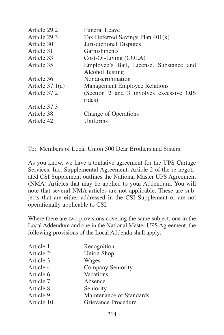| Article 29.2      | Funeral Leave                                              |
|-------------------|------------------------------------------------------------|
| Article 29.3      | Tax Deferred Savings Plan 401(k)                           |
| Article 30        | Jurisdictional Disputes                                    |
| Article 31        | Garnishments                                               |
| Article 33        | Cost-Of-Living (COLA)                                      |
| Article 35        | Employee's Bail, License, Substance and<br>Alcohol Testing |
| Article 36        | Nondiscrimination                                          |
| Article $37.1(a)$ | <b>Management Employee Relations</b>                       |
| Article 37.2      | (Section 2 and 3 involves excessive OJS<br>rides)          |
| Article 37.3      |                                                            |
| Article 38        | Change of Operations                                       |
| Article 42        | Uniforms                                                   |
|                   |                                                            |

To: Members of Local Union 500 Dear Brothers and Sisters:

As you know, we have a tentative agreement for the UPS Cartage Services, Inc. Supplemental Agreement. Article 2 of the re-negotiated CSI Supplement outlines the National Master UPS Agreement (NMA) Articles that may be applied to your Addendum. You will note that several NMA articles are not applicable. These are subjects that are either addressed in the CSI Supplement or are not operationally applicable to CSI.

| Article 1  | Recognition              |
|------------|--------------------------|
| Article 2  | <b>Union Shop</b>        |
| Article 3  | Wages                    |
| Article 4  | Company Seniority        |
| Article 6  | Vacations                |
| Article 7  | Absence                  |
| Article 8  | Seniority                |
| Article 9  | Maintenance of Standards |
| Article 10 | Grievance Procedure      |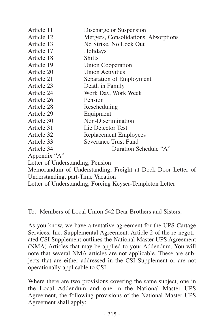| Article 11                        | Discharge or Suspension                                     |
|-----------------------------------|-------------------------------------------------------------|
| Article 12                        | Mergers, Consolidations, Absorptions                        |
| Article 13                        | No Strike, No Lock Out                                      |
| Article 17                        | Holidays                                                    |
| Article 18                        | <b>Shifts</b>                                               |
| Article 19                        | Union Cooperation                                           |
| Article 20                        | <b>Union Activities</b>                                     |
| Article 21                        | Separation of Employment                                    |
| Article 23                        | Death in Family                                             |
| Article 24                        | Work Day, Work Week                                         |
| Article 26                        | Pension                                                     |
| Article 28                        | Rescheduling                                                |
| Article 29                        | Equipment                                                   |
| Article 30                        | Non-Discrimination                                          |
| Article 31                        | Lie Detector Test                                           |
| Article 32                        | Replacement Employees                                       |
| Article 33                        | Severance Trust Fund                                        |
| Article 34                        | Duration Schedule "A"                                       |
| Appendix "A"                      |                                                             |
| Letter of Understanding, Pension  |                                                             |
|                                   | Memorandum of Understanding, Freight at Dock Door Letter of |
| Understanding, part-Time Vacation |                                                             |
|                                   | Letter of Understanding, Forcing Keyser-Templeton Letter    |

To: Members of Local Union 542 Dear Brothers and Sisters:

As you know, we have a tentative agreement for the UPS Cartage Services, Inc. Supplemental Agreement. Article 2 of the re-negotiated CSI Supplement outlines the National Master UPS Agreement (NMA) Articles that may be applied to your Addendum. You will note that several NMA articles are not applicable. These are subjects that are either addressed in the CSI Supplement or are not operationally applicable to CSI.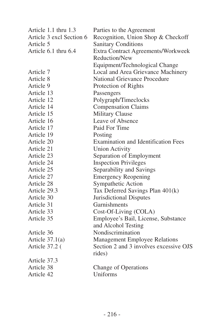| Article 1.1 thru 1.3     | Parties to the Agreement                   |
|--------------------------|--------------------------------------------|
| Article 3 excl Section 6 | Recognition, Union Shop & Checkoff         |
| Article 5                | <b>Sanitary Conditions</b>                 |
| Article 6.1 thru 6.4     | Extra Contract Agreements/Workweek         |
|                          | Reduction/New                              |
|                          | Equipment/Technological Change             |
| Article 7                | Local and Area Grievance Machinery         |
| Article 8                | National Grievance Procedure               |
| Article 9                | Protection of Rights                       |
| Article 13               | Passengers                                 |
| Article 12               | Polygraph/Timeclocks                       |
| Article 14               | <b>Compensation Claims</b>                 |
| Article 15               | <b>Military Clause</b>                     |
| Article 16               | Leave of Absence                           |
| Article 17               | Paid For Time                              |
| Article 19               | Posting                                    |
| Article 20               | <b>Examination and Identification Fees</b> |
| Article 21               | <b>Union Activity</b>                      |
| Article 23               | Separation of Employment                   |
| Article 24               | <b>Inspection Privileges</b>               |
| Article 25               | Separability and Savings                   |
| Article 27               | <b>Emergency Reopening</b>                 |
| Article 28               | Sympathetic Action                         |
| Article 29.3             | Tax Deferred Savings Plan 401(k)           |
| Article 30               | Jurisdictional Disputes                    |
| Article 31               | Garnishments                               |
| Article 33               | Cost-Of-Living (COLA)                      |
| Article 35               | Employee's Bail, License, Substance        |
|                          | and Alcohol Testing                        |
| Article 36               | Nondiscrimination                          |
| Article $37.1(a)$        | Management Employee Relations              |
| Article 37.2 (           | Section 2 and 3 involves excessive OJS     |
|                          | rides)                                     |
| Article 37.3             |                                            |
| Article 38               | Change of Operations                       |
| Article 42               | Uniforms                                   |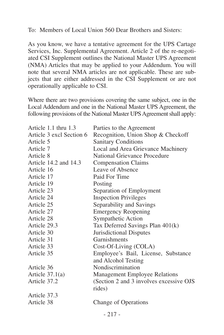To: Members of Local Union 560 Dear Brothers and Sisters:

As you know, we have a tentative agreement for the UPS Cartage Services, Inc. Supplemental Agreement. Article 2 of the re-negotiated CSI Supplement outlines the National Master UPS Agreement (NMA) Articles that may be applied to your Addendum. You will note that several NMA articles are not applicable. These are subjects that are either addressed in the CSI Supplement or are not operationally applicable to CSI.

| Article 1.1 thru 1.3     | Parties to the Agreement                 |
|--------------------------|------------------------------------------|
| Article 3 excl Section 6 | Recognition, Union Shop & Checkoff       |
| Article 5                | <b>Sanitary Conditions</b>               |
| Article 7                | Local and Area Grievance Machinery       |
| Article 8                | National Grievance Procedure             |
| Article 14.2 and 14.3    | <b>Compensation Claims</b>               |
| Article 16               | Leave of Absence                         |
| Article 17               | Paid For Time                            |
| Article 19               | Posting                                  |
| Article 23               | Separation of Employment                 |
| Article 24               | <b>Inspection Privileges</b>             |
| Article 25               | Separability and Savings                 |
| Article 27               | <b>Emergency Reopening</b>               |
| Article 28               | Sympathetic Action                       |
| Article 29.3             | Tax Deferred Savings Plan 401(k)         |
| Article 30               | Jurisdictional Disputes                  |
| Article 31               | Garnishments                             |
| Article 33               | Cost-Of-Living (COLA)                    |
| Article 35               | Employee's Bail, License, Substance      |
|                          | and Alcohol Testing                      |
| Article 36               | Nondiscrimination                        |
| Article $37.1(a)$        | Management Employee Relations            |
| Article 37.2             | (Section 2 and 3 involves excessive OJS) |
|                          | rides)                                   |
| Article 37.3             |                                          |
| Article 38               | Change of Operations                     |
|                          |                                          |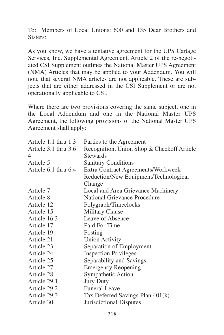To: Members of Local Unions: 600 and 135 Dear Brothers and Sisters:

As you know, we have a tentative agreement for the UPS Cartage Services, Inc. Supplemental Agreement. Article 2 of the re-negotiated CSI Supplement outlines the National Master UPS Agreement (NMA) Articles that may be applied to your Addendum. You will note that several NMA articles are not applicable. These are subjects that are either addressed in the CSI Supplement or are not operationally applicable to CSI.

| Article 1.1 thru 1.3 | Parties to the Agreement                   |
|----------------------|--------------------------------------------|
| Article 3.1 thru 3.6 | Recognition, Union Shop & Checkoff Article |
| 4                    | Stewards                                   |
| Article 5            | <b>Sanitary Conditions</b>                 |
| Article 6.1 thru 6.4 | Extra Contract Agreements/Workweek         |
|                      | Reduction/New Equipment/Technological      |
|                      | Change                                     |
| Article 7            | Local and Area Grievance Machinery         |
| Article 8            | National Grievance Procedure               |
| Article 12           | Polygraph/Timeclocks                       |
| Article 15           | <b>Military Clause</b>                     |
| Article 16.3         | Leave of Absence                           |
| Article 17           | Paid For Time                              |
| Article 19           | Posting                                    |
| Article 21           | <b>Union Activity</b>                      |
| Article 23           | Separation of Employment                   |
| Article 24           | <b>Inspection Privileges</b>               |
| Article 25           | Separability and Savings                   |
| Article 27           | <b>Emergency Reopening</b>                 |
| Article 28           | Sympathetic Action                         |
| Article 29.1         | <b>Jury Duty</b>                           |
| Article 29.2         | <b>Funeral Leave</b>                       |
| Article 29.3         | Tax Deferred Savings Plan 401(k)           |
| Article 30           | Jurisdictional Disputes                    |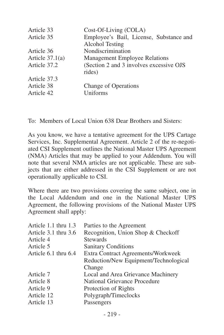| Article 33        | Cost-Of-Living (COLA)                                      |
|-------------------|------------------------------------------------------------|
| Article 35        | Employee's Bail, License, Substance and<br>Alcohol Testing |
| Article 36        | Nondiscrimination                                          |
| Article $37.1(a)$ | Management Employee Relations                              |
| Article 37.2      | (Section 2 and 3 involves excessive OJS)<br>rides)         |
| Article 37.3      |                                                            |
| Article 38        | Change of Operations                                       |
| Article 42        | Uniforms                                                   |

To: Members of Local Union 638 Dear Brothers and Sisters:

As you know, we have a tentative agreement for the UPS Cartage Services, Inc. Supplemental Agreement. Article 2 of the re-negotiated CSI Supplement outlines the National Master UPS Agreement (NMA) Articles that may be applied to your Addendum. You will note that several NMA articles are not applicable. These are subjects that are either addressed in the CSI Supplement or are not operationally applicable to CSI.

| Article 1.1 thru 1.3 | Parties to the Agreement              |
|----------------------|---------------------------------------|
| Article 3.1 thru 3.6 | Recognition, Union Shop & Checkoff    |
| Article 4            | <b>Stewards</b>                       |
| Article 5            | <b>Sanitary Conditions</b>            |
| Article 6.1 thru 6.4 | Extra Contract Agreements/Workweek    |
|                      | Reduction/New Equipment/Technological |
|                      | Change                                |
| Article 7            | Local and Area Grievance Machinery    |
| Article 8            | National Grievance Procedure          |
| Article 9            | Protection of Rights                  |
| Article 12           | Polygraph/Timeclocks                  |
| Article 13           | Passengers                            |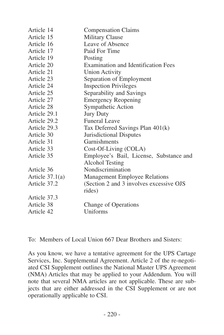| Article 14        | <b>Compensation Claims</b>                 |
|-------------------|--------------------------------------------|
| Article 15        | Military Clause                            |
| Article 16        | Leave of Absence                           |
| Article 17        | Paid For Time                              |
| Article 19        | Posting                                    |
| Article 20        | <b>Examination and Identification Fees</b> |
| Article 21        | Union Activity                             |
| Article 23        | Separation of Employment                   |
| Article 24        | <b>Inspection Privileges</b>               |
| Article 25        | Separability and Savings                   |
| Article 27        | <b>Emergency Reopening</b>                 |
| Article 28        | Sympathetic Action                         |
| Article 29.1      | <b>Jury Duty</b>                           |
| Article 29.2      | <b>Funeral Leave</b>                       |
| Article 29.3      | Tax Deferred Savings Plan 401(k)           |
| Article 30        | Jurisdictional Disputes                    |
| Article 31        | Garnishments                               |
| Article 33        | Cost-Of-Living (COLA)                      |
| Article 35        | Employee's Bail, License, Substance and    |
|                   | Alcohol Testing                            |
| Article 36        | Nondiscrimination                          |
| Article $37.1(a)$ | Management Employee Relations              |
| Article 37.2      | (Section 2 and 3 involves excessive OJS)   |
|                   | rides)                                     |
| Article 37.3      |                                            |
| Article 38        | Change of Operations                       |
| Article 42        | Uniforms                                   |
|                   |                                            |

To: Members of Local Union 667 Dear Brothers and Sisters:

As you know, we have a tentative agreement for the UPS Cartage Services, Inc. Supplemental Agreement. Article 2 of the re-negotiated CSI Supplement outlines the National Master UPS Agreement (NMA) Articles that may be applied to your Addendum. You will note that several NMA articles are not applicable. These are subjects that are either addressed in the CSI Supplement or are not operationally applicable to CSI.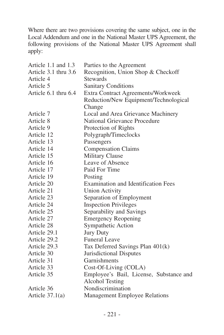| Article 1.1 and 1.3  | Parties to the Agreement                   |
|----------------------|--------------------------------------------|
| Article 3.1 thru 3.6 | Recognition, Union Shop & Checkoff         |
| Article 4            | <b>Stewards</b>                            |
| Article 5            | <b>Sanitary Conditions</b>                 |
| Article 6.1 thru 6.4 | Extra Contract Agreements/Workweek         |
|                      | Reduction/New Equipment/Technological      |
|                      | Change                                     |
| Article 7            | Local and Area Grievance Machinery         |
| Article 8            | National Grievance Procedure               |
| Article 9            | Protection of Rights                       |
| Article 12           | Polygraph/Timeclocks                       |
| Article 13           | Passengers                                 |
| Article 14           | <b>Compensation Claims</b>                 |
| Article 15           | Military Clause                            |
| Article 16           | Leave of Absence                           |
| Article 17           | Paid For Time                              |
| Article 19           | Posting                                    |
| Article 20           | <b>Examination and Identification Fees</b> |
| Article 21           | <b>Union Activity</b>                      |
| Article 23           | Separation of Employment                   |
| Article 24           | <b>Inspection Privileges</b>               |
| Article 25           | Separability and Savings                   |
| Article 27           | <b>Emergency Reopening</b>                 |
| Article 28           | Sympathetic Action                         |
| Article 29.1         | <b>Jury Duty</b>                           |
| Article 29.2         | <b>Funeral Leave</b>                       |
| Article 29.3         | Tax Deferred Savings Plan 401(k)           |
| Article 30           | Jurisdictional Disputes                    |
| Article 31           | Garnishments                               |
| Article 33           | Cost-Of-Living (COLA)                      |
| Article 35           | Employee's Bail, License, Substance and    |
|                      | Alcohol Testing                            |
| Article 36           | Nondiscrimination                          |
| Article $37.1(a)$    | Management Employee Relations              |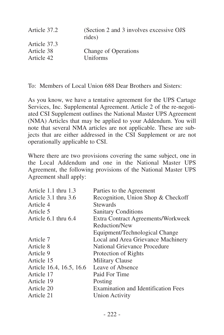| Article 37.2 | (Section 2 and 3 involves excessive OJS)<br>rides) |
|--------------|----------------------------------------------------|
| Article 37.3 |                                                    |
| Article 38   | Change of Operations                               |
| Article 42   | Uniforms                                           |
|              |                                                    |

To: Members of Local Union 688 Dear Brothers and Sisters:

As you know, we have a tentative agreement for the UPS Cartage Services, Inc. Supplemental Agreement. Article 2 of the re-negotiated CSI Supplement outlines the National Master UPS Agreement (NMA) Articles that may be applied to your Addendum. You will note that several NMA articles are not applicable. These are subjects that are either addressed in the CSI Supplement or are not operationally applicable to CSI.

| Article 1.1 thru 1.3     | Parties to the Agreement            |
|--------------------------|-------------------------------------|
| Article 3.1 thru 3.6     | Recognition, Union Shop & Checkoff  |
| Article 4                | <b>Stewards</b>                     |
| Article 5                | <b>Sanitary Conditions</b>          |
| Article 6.1 thru 6.4     | Extra Contract Agreements/Workweek  |
|                          | Reduction/New                       |
|                          | Equipment/Technological Change      |
| Article 7                | Local and Area Grievance Machinery  |
| Article 8                | National Grievance Procedure        |
| Article 9                | Protection of Rights                |
| Article 15               | Military Clause                     |
| Article 16.4, 16.5, 16.6 | Leave of Absence                    |
| Article 17               | Paid For Time                       |
| Article 19               | Posting                             |
| Article 20               | Examination and Identification Fees |
| Article 21               | Union Activity                      |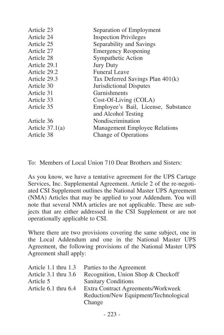| Article 23        | Separation of Employment             |
|-------------------|--------------------------------------|
| Article 24        | <b>Inspection Privileges</b>         |
| Article 25        | Separability and Savings             |
| Article 27        | <b>Emergency Reopening</b>           |
| Article 28        | Sympathetic Action                   |
| Article 29.1      | <b>Jury Duty</b>                     |
| Article 29.2      | <b>Funeral Leave</b>                 |
| Article 29.3      | Tax Deferred Savings Plan 401(k)     |
| Article 30        | Jurisdictional Disputes              |
| Article 31        | Garnishments                         |
| Article 33        | Cost-Of-Living (COLA)                |
| Article 35        | Employee's Bail, License, Substance  |
|                   | and Alcohol Testing                  |
| Article 36        | Nondiscrimination                    |
| Article $37.1(a)$ | <b>Management Employee Relations</b> |
| Article 38        | Change of Operations                 |
|                   |                                      |

To: Members of Local Union 710 Dear Brothers and Sisters:

As you know, we have a tentative agreement for the UPS Cartage Services, Inc. Supplemental Agreement. Article 2 of the re-negotiated CSI Supplement outlines the National Master UPS Agreement (NMA) Articles that may be applied to your Addendum. You will note that several NMA articles are not applicable. These are subjects that are either addressed in the CSI Supplement or are not operationally applicable to CSI.

| Article 1.1 thru 1.3 | Parties to the Agreement              |
|----------------------|---------------------------------------|
| Article 3.1 thru 3.6 | Recognition, Union Shop & Checkoff    |
| Article 5            | <b>Sanitary Conditions</b>            |
| Article 6.1 thru 6.4 | Extra Contract Agreements/Workweek    |
|                      | Reduction/New Equipment/Technological |
|                      | Change                                |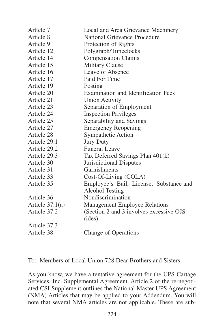| Article 7         | Local and Area Grievance Machinery       |
|-------------------|------------------------------------------|
| Article 8         | National Grievance Procedure             |
| Article 9         | Protection of Rights                     |
| Article 12        | Polygraph/Timeclocks                     |
| Article 14        | <b>Compensation Claims</b>               |
| Article 15        | Military Clause                          |
| Article 16        | Leave of Absence                         |
| Article 17        | Paid For Time                            |
| Article 19        | Posting                                  |
| Article 20        | Examination and Identification Fees      |
| Article 21        | <b>Union Activity</b>                    |
| Article 23        | Separation of Employment                 |
| Article 24        | <b>Inspection Privileges</b>             |
| Article 25        | Separability and Savings                 |
| Article 27        | <b>Emergency Reopening</b>               |
| Article 28        | Sympathetic Action                       |
| Article 29.1      | <b>Jury Duty</b>                         |
| Article 29.2      | <b>Funeral Leave</b>                     |
| Article 29.3      | Tax Deferred Savings Plan 401(k)         |
| Article 30        | Jurisdictional Disputes                  |
| Article 31        | Garnishments                             |
| Article 33        | Cost-Of-Living (COLA)                    |
| Article 35        | Employee's Bail, License, Substance and  |
|                   | Alcohol Testing                          |
| Article 36        | Nondiscrimination                        |
| Article $37.1(a)$ | Management Employee Relations            |
| Article 37.2      | (Section 2 and 3 involves excessive OJS) |
|                   | rides)                                   |
| Article 37.3      |                                          |
| Article 38        | Change of Operations                     |

To: Members of Local Union 728 Dear Brothers and Sisters:

As you know, we have a tentative agreement for the UPS Cartage Services, Inc. Supplemental Agreement. Article 2 of the re-negotiated CSI Supplement outlines the National Master UPS Agreement (NMA) Articles that may be applied to your Addendum. You will note that several NMA articles are not applicable. These are sub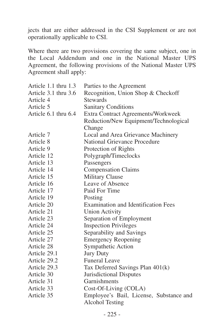jects that are either addressed in the CSI Supplement or are not operationally applicable to CSI.

| Article 1.1 thru 1.3 | Parties to the Agreement                   |
|----------------------|--------------------------------------------|
| Article 3.1 thru 3.6 | Recognition, Union Shop & Checkoff         |
| Article 4            | <b>Stewards</b>                            |
| Article 5            | <b>Sanitary Conditions</b>                 |
| Article 6.1 thru 6.4 | Extra Contract Agreements/Workweek         |
|                      | Reduction/New Equipment/Technological      |
|                      | Change                                     |
| Article 7            | Local and Area Grievance Machinery         |
| Article 8            | National Grievance Procedure               |
| Article 9            | Protection of Rights                       |
| Article 12           | Polygraph/Timeclocks                       |
| Article 13           | Passengers                                 |
| Article 14           | <b>Compensation Claims</b>                 |
| Article 15           | <b>Military Clause</b>                     |
| Article 16           | Leave of Absence                           |
| Article 17           | Paid For Time                              |
| Article 19           | Posting                                    |
| Article 20           | <b>Examination and Identification Fees</b> |
| Article 21           | <b>Union Activity</b>                      |
| Article 23           | Separation of Employment                   |
| Article 24           | <b>Inspection Privileges</b>               |
| Article 25           | Separability and Savings                   |
| Article 27           | <b>Emergency Reopening</b>                 |
| Article 28           | Sympathetic Action                         |
| Article 29.1         | <b>Jury Duty</b>                           |
| Article 29.2         | <b>Funeral Leave</b>                       |
| Article 29.3         | Tax Deferred Savings Plan 401(k)           |
| Article 30           | Jurisdictional Disputes                    |
| Article 31           | Garnishments                               |
| Article 33           | Cost-Of-Living (COLA)                      |
| Article 35           | Employee's Bail, License, Substance and    |
|                      | <b>Alcohol Testing</b>                     |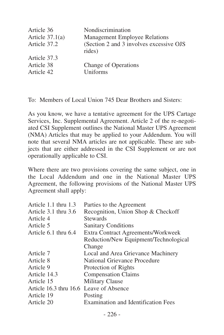| Article 36<br>Article $37.1(a)$ | Nondiscrimination<br><b>Management Employee Relations</b> |
|---------------------------------|-----------------------------------------------------------|
|                                 |                                                           |
| Article 37.2                    | (Section 2 and 3 involves excessive OJS)<br>rides)        |
| Article 37.3                    |                                                           |
| Article 38                      | Change of Operations                                      |
| Article 42                      | Uniforms                                                  |
|                                 |                                                           |

To: Members of Local Union 745 Dear Brothers and Sisters:

As you know, we have a tentative agreement for the UPS Cartage Services, Inc. Supplemental Agreement. Article 2 of the re-negotiated CSI Supplement outlines the National Master UPS Agreement (NMA) Articles that may be applied to your Addendum. You will note that several NMA articles are not applicable. These are subjects that are either addressed in the CSI Supplement or are not operationally applicable to CSI.

| Article 1.1 thru 1.3                    | Parties to the Agreement                   |
|-----------------------------------------|--------------------------------------------|
| Article 3.1 thru 3.6                    | Recognition, Union Shop & Checkoff         |
| Article 4                               | <b>Stewards</b>                            |
| Article 5                               | <b>Sanitary Conditions</b>                 |
| Article 6.1 thru 6.4                    | Extra Contract Agreements/Workweek         |
|                                         | Reduction/New Equipment/Technological      |
|                                         | Change                                     |
| Article 7                               | Local and Area Grievance Machinery         |
| Article 8                               | National Grievance Procedure               |
| Article 9                               | Protection of Rights                       |
| Article 14.3                            | <b>Compensation Claims</b>                 |
| Article 15                              | Military Clause                            |
| Article 16.3 thru 16.6 Leave of Absence |                                            |
| Article 19                              | Posting                                    |
| Article 20                              | <b>Examination and Identification Fees</b> |
|                                         |                                            |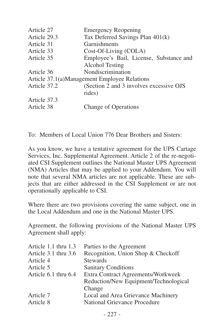| Article 27   | <b>Emergency Reopening</b>                   |
|--------------|----------------------------------------------|
| Article 29.3 | Tax Deferred Savings Plan 401(k)             |
| Article 31   | Garnishments                                 |
| Article 33   | Cost-Of-Living (COLA)                        |
| Article 35   | Employee's Bail, License, Substance and      |
|              | Alcohol Testing                              |
| Article 36   | Nondiscrimination                            |
|              | Article 37.1(a)Management Employee Relations |
| Article 37.2 | (Section 2 and 3 involves excessive OJS)     |
|              | rides)                                       |
| Article 37.3 |                                              |
| Article 38   | Change of Operations                         |
|              |                                              |

To: Members of Local Union 776 Dear Brothers and Sisters:

As you know, we have a tentative agreement for the UPS Cartage Services, Inc. Supplemental Agreement. Article 2 of the re-negotiated CSI Supplement outlines the National Master UPS Agreement (NMA) Articles that may be applied to your Addendum. You will note that several NMA articles are not applicable. These are subjects that are either addressed in the CSI Supplement or are not operationally applicable to CSI.

Where there are two provisions covering the same subject, one in the Local Addendum and one in the National Master UPS.

Agreement, the following provisions of the National Master UPS Agreement shall apply:

| Parties to the Agreement              |
|---------------------------------------|
| Recognition, Union Shop & Checkoff    |
| <b>Stewards</b>                       |
| <b>Sanitary Conditions</b>            |
| Extra Contract Agreements/Workweek    |
| Reduction/New Equipment/Technological |
| Change                                |
| Local and Area Grievance Machinery    |
| National Grievance Procedure          |
|                                       |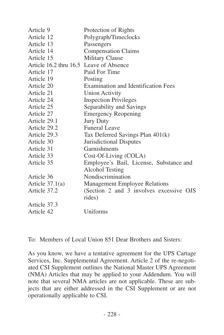| Article 9                               | Protection of Rights                    |
|-----------------------------------------|-----------------------------------------|
| Article 12                              | Polygraph/Timeclocks                    |
| Article 13                              | Passengers                              |
| Article 14                              | <b>Compensation Claims</b>              |
| Article 15                              | <b>Military Clause</b>                  |
| Article 16.2 thru 16.5 Leave of Absence |                                         |
| Article 17                              | Paid For Time                           |
| Article 19                              | Posting                                 |
| Article 20                              | Examination and Identification Fees     |
| Article 21                              | <b>Union Activity</b>                   |
| Article 24                              | <b>Inspection Privileges</b>            |
| Article 25                              | Separability and Savings                |
| Article 27                              | <b>Emergency Reopening</b>              |
| Article 29.1                            | <b>Jury Duty</b>                        |
| Article 29.2                            | Funeral Leave                           |
| Article 29.3                            | Tax Deferred Savings Plan 401(k)        |
| Article 30                              | Jurisdictional Disputes                 |
| Article 31                              | Garnishments                            |
| Article 33                              | Cost-Of-Living (COLA)                   |
| Article 35                              | Employee's Bail, License, Substance and |
|                                         | Alcohol Testing                         |
| Article 36                              | Nondiscrimination                       |
| Article $37.1(a)$                       | Management Employee Relations           |
| Article 37.2                            | (Section 2 and 3 involves excessive OJS |
|                                         | rides)                                  |
| Article 37.3                            |                                         |
| Article 42                              | Uniforms                                |
|                                         |                                         |

To: Members of Local Union 851 Dear Brothers and Sisters:

As you know, we have a tentative agreement for the UPS Cartage Services, Inc. Supplemental Agreement. Article 2 of the re-negotiated CSI Supplement outlines the National Master UPS Agreement (NMA) Articles that may be applied to your Addendum. You will note that several NMA articles are not applicable. These are subjects that are either addressed in the CSI Supplement or are not operationally applicable to CSI.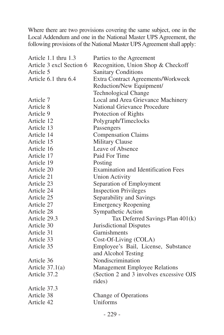| Article 1.1 thru 1.3     | Parties to the Agreement                 |
|--------------------------|------------------------------------------|
| Article 3 excl Section 6 | Recognition, Union Shop & Checkoff       |
| Article 5                | <b>Sanitary Conditions</b>               |
| Article 6.1 thru 6.4     | Extra Contract Agreements/Workweek       |
|                          | Reduction/New Equipment/                 |
|                          | Technological Change                     |
| Article 7                | Local and Area Grievance Machinery       |
| Article 8                | National Grievance Procedure             |
| Article 9                | Protection of Rights                     |
| Article 12               | Polygraph/Timeclocks                     |
| Article 13               | Passengers                               |
| Article 14               | <b>Compensation Claims</b>               |
| Article 15               | <b>Military Clause</b>                   |
| Article 16               | Leave of Absence                         |
| Article 17               | Paid For Time                            |
| Article 19               | Posting                                  |
| Article 20               | Examination and Identification Fees      |
| Article 21               | <b>Union Activity</b>                    |
| Article 23               | Separation of Employment                 |
| Article 24               | <b>Inspection Privileges</b>             |
| Article 25               | Separability and Savings                 |
| Article 27               | <b>Emergency Reopening</b>               |
| Article 28               | Sympathetic Action                       |
| Article 29.3             | Tax Deferred Savings Plan 401(k)         |
| Article 30               | Jurisdictional Disputes                  |
| Article 31               | Garnishments                             |
| Article 33               | Cost-Of-Living (COLA)                    |
| Article 35               | Employee's Bail, License, Substance      |
|                          | and Alcohol Testing                      |
| Article 36               | Nondiscrimination                        |
| Article $37.1(a)$        | Management Employee Relations            |
| Article 37.2             | (Section 2 and 3 involves excessive OJS) |
|                          | rides)                                   |
| Article 37.3             |                                          |
| Article 38               | Change of Operations                     |
| Article 42               | Uniforms                                 |
|                          |                                          |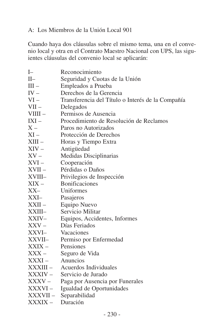#### A: Los Miembros de la Unión Local 901

Cuando haya dos cláusulas sobre el mismo tema, una en el convenio local y otra en el Contrato Maestro Nacional con UPS, las siguientes cláusulas del convenio local se aplicarán:

| $I-$      | Reconocimiento                                    |
|-----------|---------------------------------------------------|
| $II-$     | Seguridad y Cuotas de la Unión                    |
| $III -$   | Empleados a Prueba                                |
| $IV -$    | Derechos de la Gerencia                           |
| $VI -$    | Transferencia del Título o Interés de la Compañía |
| $VII -$   | Delegados                                         |
| $VIIII -$ | Permisos de Ausencia                              |
| $IXI -$   | Procedimiento de Resolución de Reclamos           |
| $X -$     | Paros no Autorizados                              |
| $XI -$    | Protección de Derechos                            |
| $XIII -$  | Horas y Tiempo Extra                              |
| $XIV -$   | Antigüedad                                        |
| $XV -$    | Medidas Disciplinarias                            |
| $XVI -$   | Cooperación                                       |
| $XVII -$  | Pérdidas o Daños                                  |
| XVIII-    | Privilegios de Inspección                         |
| $XIX -$   | <b>Bonificaciones</b>                             |
| XX-       | Uniformes                                         |
| XXI–      | Pasajeros                                         |
| XXII -    | Equipo Nuevo                                      |
| XXIII-    | Servicio Militar                                  |
| XXIV-     | Equipos, Accidentes, Informes                     |
| $XXV -$   | Días Feriados                                     |
| XXVI-     | Vacaciones                                        |
| XXVII-    | Permiso por Enfermedad                            |
| $XXIX -$  | Pensiones                                         |
| $XXX -$   | Seguro de Vida                                    |
| XXXI –    | Anuncios                                          |
| – IIIXXXI | Acuerdos Individuales                             |
| XXXIV –   | Servicio de Jurado                                |
| XXXV –    | Paga por Ausencia por Funerales                   |
| XXXVI –   | Igualdad de Oportunidades                         |
| – XXXVII  | Separabilidad                                     |
| XXXIX -   | Duración                                          |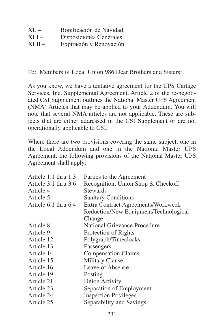| $XL -$ | Bonificación de Navidad |
|--------|-------------------------|
| XLI –  | Disposiciones Generales |
| XLII – | Expiración y Renovación |

To: Members of Local Union 986 Dear Brothers and Sisters:

As you know, we have a tentative agreement for the UPS Cartage Services, Inc. Supplemental Agreement. Article 2 of the re-negotiated CSI Supplement outlines the National Master UPS Agreement (NMA) Articles that may be applied to your Addendum. You will note that several NMA articles are not applicable. These are subjects that are either addressed in the CSI Supplement or are not operationally applicable to CSI.

| Article 1.1 thru 1.3 | Parties to the Agreement              |
|----------------------|---------------------------------------|
| Article 3.1 thru 3.6 | Recognition, Union Shop & Checkoff    |
| Article 4            | <b>Stewards</b>                       |
| Article 5            | <b>Sanitary Conditions</b>            |
| Article 6.1 thru 6.4 | Extra Contract Agreements/Workweek    |
|                      | Reduction/New Equipment/Technological |
|                      | Change                                |
| Article 8            | National Grievance Procedure          |
| Article 9            | Protection of Rights                  |
| Article 12           | Polygraph/Timeclocks                  |
| Article 13           | Passengers                            |
| Article 14           | <b>Compensation Claims</b>            |
| Article 15           | Military Clause                       |
| Article 16           | Leave of Absence                      |
| Article 19           | Posting                               |
| Article 21           | <b>Union Activity</b>                 |
| Article 23           | Separation of Employment              |
| Article 24           | <b>Inspection Privileges</b>          |
| Article 25           | Separability and Savings              |
|                      |                                       |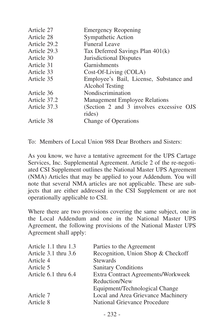| Article 27   | <b>Emergency Reopening</b>              |
|--------------|-----------------------------------------|
| Article 28   | Sympathetic Action                      |
| Article 29.2 | Funeral Leave                           |
| Article 29.3 | Tax Deferred Savings Plan 401(k)        |
| Article 30   | Jurisdictional Disputes                 |
| Article 31   | Garnishments                            |
| Article 33   | Cost-Of-Living (COLA)                   |
| Article 35   | Employee's Bail, License, Substance and |
|              | Alcohol Testing                         |
| Article 36   | Nondiscrimination                       |
| Article 37.2 | <b>Management Employee Relations</b>    |
| Article 37.3 | (Section 2 and 3 involves excessive OJS |
|              | rides)                                  |
| Article 38   | Change of Operations                    |
|              |                                         |

To: Members of Local Union 988 Dear Brothers and Sisters:

As you know, we have a tentative agreement for the UPS Cartage Services, Inc. Supplemental Agreement. Article 2 of the re-negotiated CSI Supplement outlines the National Master UPS Agreement (NMA) Articles that may be applied to your Addendum. You will note that several NMA articles are not applicable. These are subjects that are either addressed in the CSI Supplement or are not operationally applicable to CSI.

| Parties to the Agreement                  |
|-------------------------------------------|
| Recognition, Union Shop & Checkoff        |
| <b>Stewards</b>                           |
| <b>Sanitary Conditions</b>                |
| <b>Extra Contract Agreements/Workweek</b> |
| Reduction/New                             |
| Equipment/Technological Change            |
| Local and Area Grievance Machinery        |
| National Grievance Procedure              |
|                                           |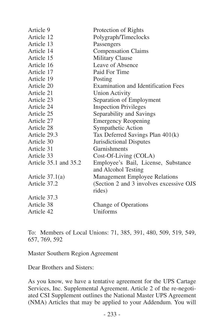| Article 9             | Protection of Rights                               |
|-----------------------|----------------------------------------------------|
| Article 12            | Polygraph/Timeclocks                               |
| Article 13            | Passengers                                         |
| Article 14            | <b>Compensation Claims</b>                         |
| Article 15            | Military Clause                                    |
| Article 16            | Leave of Absence                                   |
| Article 17            | Paid For Time                                      |
| Article 19            | Posting                                            |
| Article 20            | Examination and Identification Fees                |
| Article 21            | <b>Union Activity</b>                              |
| Article 23            | Separation of Employment                           |
| Article 24            | <b>Inspection Privileges</b>                       |
| Article 25            | Separability and Savings                           |
| Article 27            | <b>Emergency Reopening</b>                         |
| Article 28            | Sympathetic Action                                 |
| Article 29.3          | Tax Deferred Savings Plan 401(k)                   |
| Article 30            | Jurisdictional Disputes                            |
| Article 31            | Garnishments                                       |
| Article 33            | Cost-Of-Living (COLA)                              |
| Article 35.1 and 35.2 | Employee's Bail, License, Substance                |
|                       | and Alcohol Testing                                |
| Article $37.1(a)$     | Management Employee Relations                      |
| Article 37.2          | (Section 2 and 3 involves excessive OJS)<br>rides) |
| Article 37.3          |                                                    |
| Article 38            | Change of Operations                               |
| Article 42            | Uniforms                                           |

To: Members of Local Unions: 71, 385, 391, 480, 509, 519, 549, 657, 769, 592

Master Southern Region Agreement

Dear Brothers and Sisters:

As you know, we have a tentative agreement for the UPS Cartage Services, Inc. Supplemental Agreement. Article 2 of the re-negotiated CSI Supplement outlines the National Master UPS Agreement (NMA) Articles that may be applied to your Addendum. You will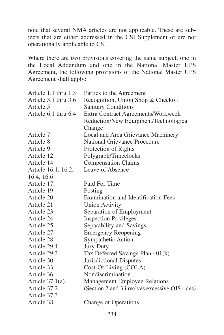note that several NMA articles are not applicable. These are subjects that are either addressed in the CSI Supplement or are not operationally applicable to CSI.

| Article 1.1 thru 1.3 | Parties to the Agreement                       |
|----------------------|------------------------------------------------|
| Article 3.1 thru 3.6 | Recognition, Union Shop & Checkoff             |
| Article 5            | <b>Sanitary Conditions</b>                     |
| Article 6.1 thru 6.4 | Extra Contract Agreements/Workweek             |
|                      | Reduction/New Equipment/Technological          |
|                      | Change                                         |
| Article 7            | Local and Area Grievance Machinery             |
| Article 8            | National Grievance Procedure                   |
| Article 9            | Protection of Rights                           |
| Article 12           | Polygraph/Timeclocks                           |
| Article 14           | <b>Compensation Claims</b>                     |
| Article 16.1, 16.2,  | Leave of Absence                               |
| 16.4, 16.6           |                                                |
| Article 17           | Paid For Time                                  |
| Article 19           | Posting                                        |
| Article 20           | <b>Examination and Identification Fees</b>     |
| Article 21           | <b>Union Activity</b>                          |
| Article 23           | Separation of Employment                       |
| Article 24           | <b>Inspection Privileges</b>                   |
| Article 25           | Separability and Savings                       |
| Article 27           | <b>Emergency Reopening</b>                     |
| Article 28           | Sympathetic Action                             |
| Article 29.1         | <b>Jury Duty</b>                               |
| Article 29.3         | Tax Deferred Savings Plan 401(k)               |
| Article 30           | Jurisdictional Disputes                        |
| Article 33           | Cost-Of-Living (COLA)                          |
| Article 36           | Nondiscrimination                              |
| Article $37.1(a)$    | Management Employee Relations                  |
| Article 37.2         | (Section 2 and 3 involves excessive OJS rides) |
| Article 37.3         |                                                |
| Article 38           | Change of Operations                           |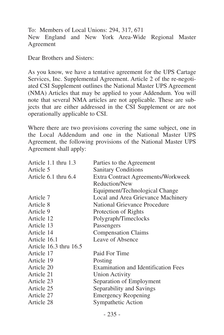To: Members of Local Unions: 294, 317, 671 New England and New York Area-Wide Regional Master Agreement

Dear Brothers and Sisters:

As you know, we have a tentative agreement for the UPS Cartage Services, Inc. Supplemental Agreement. Article 2 of the re-negotiated CSI Supplement outlines the National Master UPS Agreement (NMA) Articles that may be applied to your Addendum. You will note that several NMA articles are not applicable. These are subjects that are either addressed in the CSI Supplement or are not operationally applicable to CSI.

| Article 1.1 thru 1.3   | Parties to the Agreement            |
|------------------------|-------------------------------------|
| Article 5              | <b>Sanitary Conditions</b>          |
| Article 6.1 thru 6.4   | Extra Contract Agreements/Workweek  |
|                        | Reduction/New                       |
|                        | Equipment/Technological Change      |
| Article 7              | Local and Area Grievance Machinery  |
| Article 8              | National Grievance Procedure        |
| Article 9              | Protection of Rights                |
| Article 12             | Polygraph/Timeclocks                |
| Article 13             | Passengers                          |
| Article 14             | <b>Compensation Claims</b>          |
| Article 16.1           | Leave of Absence                    |
| Article 16.3 thru 16.5 |                                     |
| Article 17             | Paid For Time                       |
| Article 19             | Posting                             |
| Article 20             | Examination and Identification Fees |
| Article 21             | <b>Union Activity</b>               |
| Article 23             | Separation of Employment            |
| Article 25             | Separability and Savings            |
| Article 27             | <b>Emergency Reopening</b>          |
| Article 28             | Sympathetic Action                  |
|                        |                                     |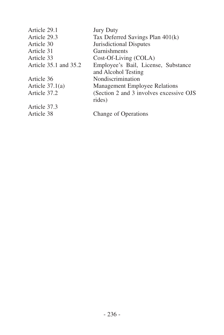| Article 29.1          | <b>Jury Duty</b>                        |
|-----------------------|-----------------------------------------|
| Article 29.3          | Tax Deferred Savings Plan 401(k)        |
| Article 30            | Jurisdictional Disputes                 |
| Article 31            | <b>Garnishments</b>                     |
| Article 33            | Cost-Of-Living (COLA)                   |
| Article 35.1 and 35.2 | Employee's Bail, License, Substance     |
|                       | and Alcohol Testing                     |
| Article 36            | Nondiscrimination                       |
| Article $37.1(a)$     | <b>Management Employee Relations</b>    |
| Article 37.2          | (Section 2 and 3 involves excessive OJS |
|                       | rides)                                  |
| Article 37.3          |                                         |
| Article 38            | Change of Operations                    |
|                       |                                         |